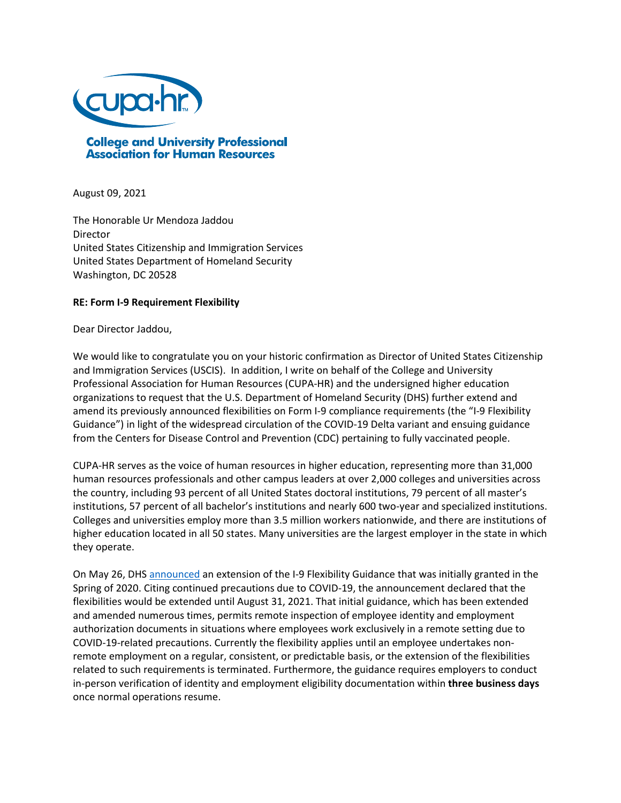

August 09, 2021

The Honorable Ur Mendoza Jaddou Director United States Citizenship and Immigration Services United States Department of Homeland Security Washington, DC 20528

## **RE: Form I-9 Requirement Flexibility**

Dear Director Jaddou,

We would like to congratulate you on your historic confirmation as Director of United States Citizenship and Immigration Services (USCIS). In addition, I write on behalf of the College and University Professional Association for Human Resources (CUPA-HR) and the undersigned higher education organizations to request that the U.S. Department of Homeland Security (DHS) further extend and amend its previously announced flexibilities on Form I-9 compliance requirements (the "I-9 Flexibility Guidance") in light of the widespread circulation of the COVID-19 Delta variant and ensuing guidance from the Centers for Disease Control and Prevention (CDC) pertaining to fully vaccinated people.

CUPA-HR serves as the voice of human resources in higher education, representing more than 31,000 human resources professionals and other campus leaders at over 2,000 colleges and universities across the country, including 93 percent of all United States doctoral institutions, 79 percent of all master's institutions, 57 percent of all bachelor's institutions and nearly 600 two-year and specialized institutions. Colleges and universities employ more than 3.5 million workers nationwide, and there are institutions of higher education located in all 50 states. Many universities are the largest employer in the state in which they operate.

On May 26, DHS [announced](https://www.uscis.gov/i-9-central/covid-19-form-i-9-related-news/dhs-extends-form-i-9-requirement-flexibility-effective-june-1-2021) an extension of the I-9 Flexibility Guidance that was initially granted in the Spring of 2020. Citing continued precautions due to COVID-19, the announcement declared that the flexibilities would be extended until August 31, 2021. That initial guidance, which has been extended and amended numerous times, permits remote inspection of employee identity and employment authorization documents in situations where employees work exclusively in a remote setting due to COVID-19-related precautions. Currently the flexibility applies until an employee undertakes nonremote employment on a regular, consistent, or predictable basis, or the extension of the flexibilities related to such requirements is terminated. Furthermore, the guidance requires employers to conduct in-person verification of identity and employment eligibility documentation within **three business days** once normal operations resume.